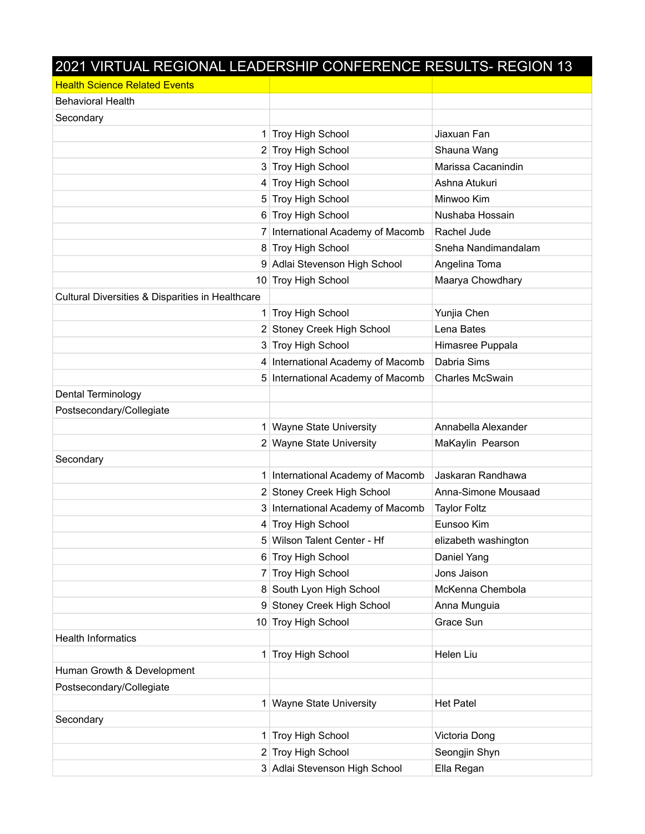| 2021 VIRTUAL REGIONAL LEADERSHIP CONFERENCE RESULTS- REGION 13 |                                   |                        |
|----------------------------------------------------------------|-----------------------------------|------------------------|
| <b>Health Science Related Events</b>                           |                                   |                        |
| <b>Behavioral Health</b>                                       |                                   |                        |
| Secondary                                                      |                                   |                        |
|                                                                | 1 Troy High School                | Jiaxuan Fan            |
|                                                                | 2 Troy High School                | Shauna Wang            |
|                                                                | 3 Troy High School                | Marissa Cacanindin     |
|                                                                | 4 Troy High School                | Ashna Atukuri          |
|                                                                | 5 Troy High School                | Minwoo Kim             |
|                                                                | 6 Troy High School                | Nushaba Hossain        |
|                                                                | 7 International Academy of Macomb | Rachel Jude            |
|                                                                | 8 Troy High School                | Sneha Nandimandalam    |
|                                                                | 9 Adlai Stevenson High School     | Angelina Toma          |
|                                                                | 10 Troy High School               | Maarya Chowdhary       |
| Cultural Diversities & Disparities in Healthcare               |                                   |                        |
|                                                                | 1 Troy High School                | Yunjia Chen            |
|                                                                | 2 Stoney Creek High School        | Lena Bates             |
|                                                                | 3 Troy High School                | Himasree Puppala       |
|                                                                | 4 International Academy of Macomb | Dabria Sims            |
|                                                                | 5 International Academy of Macomb | <b>Charles McSwain</b> |
| Dental Terminology                                             |                                   |                        |
| Postsecondary/Collegiate                                       |                                   |                        |
|                                                                | 1 Wayne State University          | Annabella Alexander    |
|                                                                | 2 Wayne State University          | MaKaylin Pearson       |
| Secondary                                                      |                                   |                        |
|                                                                | 1 International Academy of Macomb | Jaskaran Randhawa      |
|                                                                | 2 Stoney Creek High School        | Anna-Simone Mousaad    |
|                                                                | 3 International Academy of Macomb | <b>Taylor Foltz</b>    |
|                                                                | 4 Troy High School                | Eunsoo Kim             |
|                                                                | 5 Wilson Talent Center - Hf       | elizabeth washington   |
|                                                                | 6 Troy High School                | Daniel Yang            |
| 7                                                              | Troy High School                  | Jons Jaison            |
|                                                                | 8 South Lyon High School          | McKenna Chembola       |
|                                                                | 9 Stoney Creek High School        | Anna Munguia           |
|                                                                | 10 Troy High School               | Grace Sun              |
| <b>Health Informatics</b>                                      |                                   |                        |
| 1                                                              | <b>Troy High School</b>           | Helen Liu              |
| Human Growth & Development                                     |                                   |                        |
| Postsecondary/Collegiate                                       |                                   |                        |
|                                                                | 1 Wayne State University          | <b>Het Patel</b>       |
| Secondary                                                      |                                   |                        |
|                                                                | 1 Troy High School                | Victoria Dong          |
|                                                                | 2 Troy High School                | Seongjin Shyn          |
|                                                                | 3 Adlai Stevenson High School     | Ella Regan             |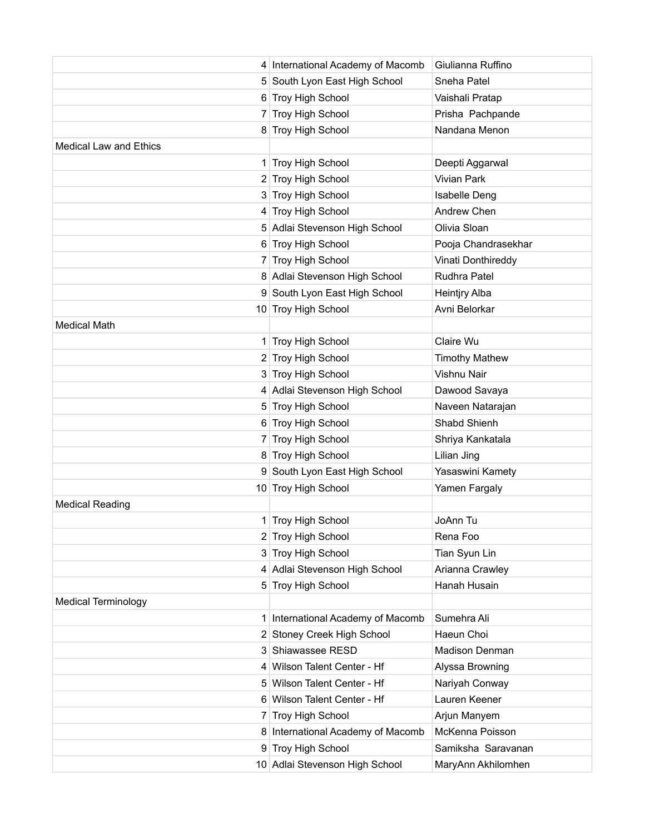|                               | 4 International Academy of Macomb | Giulianna Ruffino     |
|-------------------------------|-----------------------------------|-----------------------|
|                               | 5 South Lyon East High School     | Sneha Patel           |
|                               | 6 Troy High School                | Vaishali Pratap       |
|                               | 7 Troy High School                | Prisha Pachpande      |
|                               | 8 Troy High School                | Nandana Menon         |
| <b>Medical Law and Ethics</b> |                                   |                       |
|                               | 1 Troy High School                | Deepti Aggarwal       |
|                               | 2 Troy High School                | Vivian Park           |
|                               | 3 Troy High School                | <b>Isabelle Deng</b>  |
|                               | 4 Troy High School                | Andrew Chen           |
|                               | 5 Adlai Stevenson High School     | Olivia Sloan          |
|                               | 6 Troy High School                | Pooja Chandrasekhar   |
|                               | 7 Troy High School                | Vinati Donthireddy    |
|                               | 8 Adlai Stevenson High School     | Rudhra Patel          |
|                               | 9 South Lyon East High School     | <b>Heintjry Alba</b>  |
|                               | 10 Troy High School               | Avni Belorkar         |
| <b>Medical Math</b>           |                                   |                       |
|                               | 1 Troy High School                | Claire Wu             |
|                               | 2 Troy High School                | <b>Timothy Mathew</b> |
|                               | 3 Troy High School                | Vishnu Nair           |
|                               | 4 Adlai Stevenson High School     | Dawood Savaya         |
|                               | 5 Troy High School                | Naveen Natarajan      |
|                               | 6 Troy High School                | Shabd Shienh          |
|                               | 7 Troy High School                | Shriya Kankatala      |
|                               | 8 Troy High School                | Lilian Jing           |
|                               | 9 South Lyon East High School     | Yasaswini Kamety      |
|                               | 10 Troy High School               | Yamen Fargaly         |
| <b>Medical Reading</b>        |                                   |                       |
|                               | 1 Troy High School                | JoAnn Tu              |
|                               | 2 Troy High School                | Rena Foo              |
|                               | 3 Troy High School                | Tian Syun Lin         |
|                               | 4 Adlai Stevenson High School     | Arianna Crawley       |
|                               | 5 Troy High School                | Hanah Husain          |
| <b>Medical Terminology</b>    |                                   |                       |
|                               | 1 International Academy of Macomb | Sumehra Ali           |
|                               | 2 Stoney Creek High School        | Haeun Choi            |
|                               | 3 Shiawassee RESD                 | Madison Denman        |
|                               | 4 Wilson Talent Center - Hf       | Alyssa Browning       |
|                               | 5 Wilson Talent Center - Hf       | Nariyah Conway        |
|                               | 6 Wilson Talent Center - Hf       | Lauren Keener         |
| 7                             | Troy High School                  | Arjun Manyem          |
|                               | 8 International Academy of Macomb | McKenna Poisson       |
|                               | 9 Troy High School                | Samiksha Saravanan    |
|                               | 10 Adlai Stevenson High School    | MaryAnn Akhilomhen    |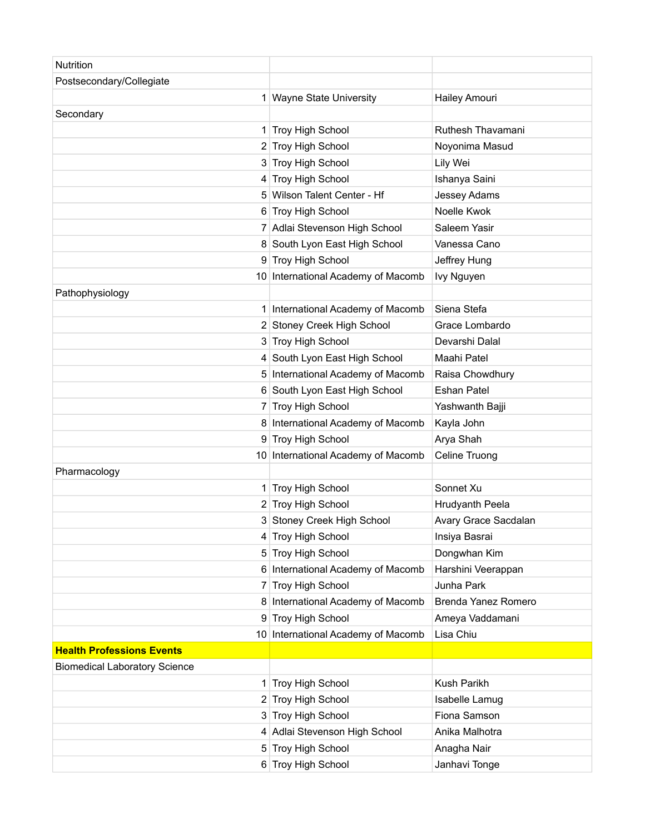| <b>Nutrition</b>                     |                                    |                      |
|--------------------------------------|------------------------------------|----------------------|
| Postsecondary/Collegiate             |                                    |                      |
| 1                                    | <b>Wayne State University</b>      | Hailey Amouri        |
| Secondary                            |                                    |                      |
|                                      | 1 Troy High School                 | Ruthesh Thavamani    |
|                                      | 2 Troy High School                 | Noyonima Masud       |
|                                      | 3 Troy High School                 | Lily Wei             |
|                                      | 4 Troy High School                 | Ishanya Saini        |
|                                      | 5 Wilson Talent Center - Hf        | Jessey Adams         |
|                                      | 6 Troy High School                 | Noelle Kwok          |
|                                      | 7 Adlai Stevenson High School      | Saleem Yasir         |
|                                      | 8 South Lyon East High School      | Vanessa Cano         |
|                                      | 9 Troy High School                 | Jeffrey Hung         |
|                                      | 10 International Academy of Macomb | Ivy Nguyen           |
| Pathophysiology                      |                                    |                      |
| 1                                    | International Academy of Macomb    | Siena Stefa          |
|                                      | 2 Stoney Creek High School         | Grace Lombardo       |
|                                      | 3 Troy High School                 | Devarshi Dalal       |
|                                      | 4 South Lyon East High School      | Maahi Patel          |
|                                      | 5 International Academy of Macomb  | Raisa Chowdhury      |
|                                      | 6 South Lyon East High School      | <b>Eshan Patel</b>   |
| 7                                    | Troy High School                   | Yashwanth Bajji      |
|                                      | 8 International Academy of Macomb  | Kayla John           |
|                                      | 9 Troy High School                 | Arya Shah            |
|                                      | 10 International Academy of Macomb | Celine Truong        |
| Pharmacology                         |                                    |                      |
|                                      | 1 Troy High School                 | Sonnet Xu            |
|                                      | 2 Troy High School                 | Hrudyanth Peela      |
|                                      | 3 Stoney Creek High School         | Avary Grace Sacdalan |
|                                      | 4 Troy High School                 | Insiya Basrai        |
| 5.                                   | Troy High School                   | Dongwhan Kim         |
|                                      | 6 International Academy of Macomb  | Harshini Veerappan   |
| 7                                    | Troy High School                   | Junha Park           |
|                                      | 8 International Academy of Macomb  | Brenda Yanez Romero  |
|                                      | 9 Troy High School                 | Ameya Vaddamani      |
|                                      | 10 International Academy of Macomb | Lisa Chiu            |
| <b>Health Professions Events</b>     |                                    |                      |
| <b>Biomedical Laboratory Science</b> |                                    |                      |
| 1                                    | Troy High School                   | Kush Parikh          |
|                                      | 2 Troy High School                 | Isabelle Lamug       |
|                                      | 3 Troy High School                 | Fiona Samson         |
|                                      | 4 Adlai Stevenson High School      | Anika Malhotra       |
|                                      | 5 Troy High School                 | Anagha Nair          |
|                                      | 6 Troy High School                 | Janhavi Tonge        |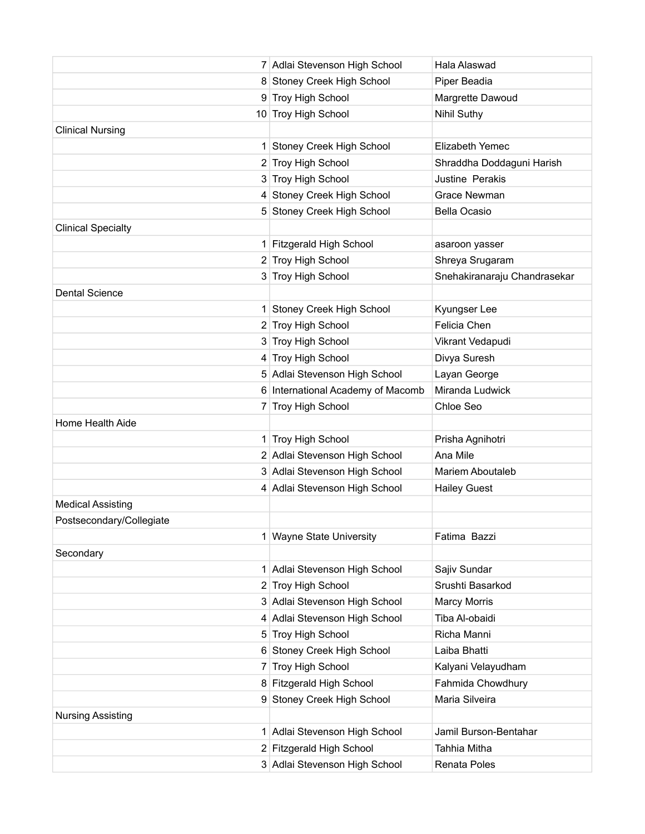|                           | 7 Adlai Stevenson High School     | Hala Alaswad                 |
|---------------------------|-----------------------------------|------------------------------|
|                           | 8 Stoney Creek High School        | Piper Beadia                 |
|                           | 9 Troy High School                | Margrette Dawoud             |
|                           | 10 Troy High School               | <b>Nihil Suthy</b>           |
| <b>Clinical Nursing</b>   |                                   |                              |
| 1                         | Stoney Creek High School          | Elizabeth Yemec              |
|                           | 2 Troy High School                | Shraddha Doddaguni Harish    |
|                           | 3 Troy High School                | Justine Perakis              |
|                           | 4 Stoney Creek High School        | Grace Newman                 |
|                           | 5 Stoney Creek High School        | <b>Bella Ocasio</b>          |
| <b>Clinical Specialty</b> |                                   |                              |
|                           | 1 Fitzgerald High School          | asaroon yasser               |
|                           | 2 Troy High School                | Shreya Srugaram              |
|                           | 3 Troy High School                | Snehakiranaraju Chandrasekar |
| <b>Dental Science</b>     |                                   |                              |
|                           | 1 Stoney Creek High School        | Kyungser Lee                 |
|                           | 2 Troy High School                | Felicia Chen                 |
|                           | 3 Troy High School                | Vikrant Vedapudi             |
|                           | 4 Troy High School                | Divya Suresh                 |
|                           | 5 Adlai Stevenson High School     | Layan George                 |
|                           | 6 International Academy of Macomb | Miranda Ludwick              |
|                           | 7 Troy High School                | Chloe Seo                    |
| Home Health Aide          |                                   |                              |
|                           | 1 Troy High School                | Prisha Agnihotri             |
|                           | 2 Adlai Stevenson High School     | Ana Mile                     |
|                           | 3 Adlai Stevenson High School     | <b>Mariem Aboutaleb</b>      |
|                           | 4 Adlai Stevenson High School     | <b>Hailey Guest</b>          |
| <b>Medical Assisting</b>  |                                   |                              |
| Postsecondary/Collegiate  |                                   |                              |
|                           | 1 Wayne State University          | Fatima Bazzi                 |
| Secondary                 |                                   |                              |
| 1                         | Adlai Stevenson High School       | Sajiv Sundar                 |
|                           | 2 Troy High School                | Srushti Basarkod             |
|                           | 3 Adlai Stevenson High School     | <b>Marcy Morris</b>          |
|                           | 4 Adlai Stevenson High School     | Tiba Al-obaidi               |
|                           | 5 Troy High School                | Richa Manni                  |
|                           | 6 Stoney Creek High School        | Laiba Bhatti                 |
| 7                         | Troy High School                  | Kalyani Velayudham           |
|                           | 8 Fitzgerald High School          | Fahmida Chowdhury            |
|                           | 9 Stoney Creek High School        | Maria Silveira               |
| <b>Nursing Assisting</b>  |                                   |                              |
|                           | 1 Adlai Stevenson High School     | Jamil Burson-Bentahar        |
|                           | 2 Fitzgerald High School          | Tahhia Mitha                 |
|                           | 3 Adlai Stevenson High School     | Renata Poles                 |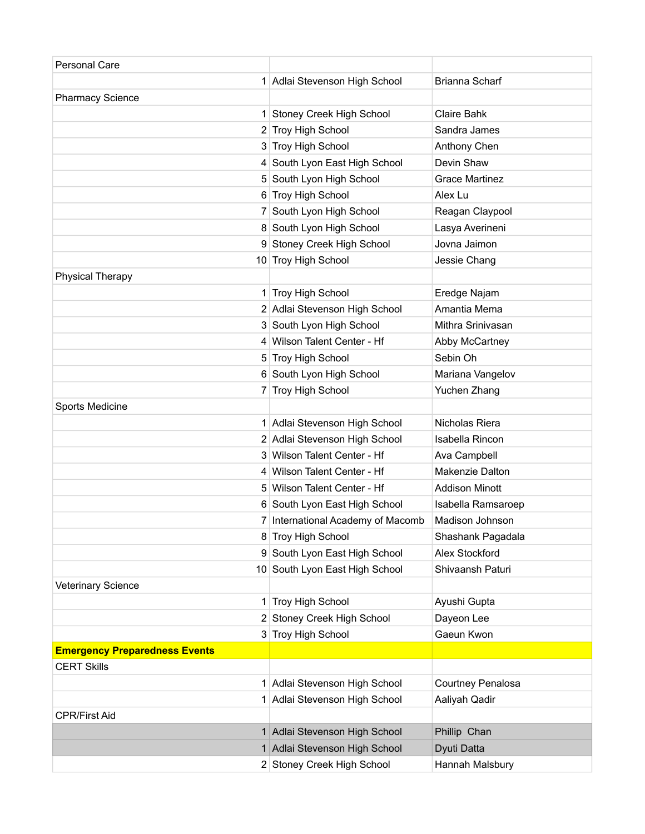| Personal Care                        |                                   |                       |
|--------------------------------------|-----------------------------------|-----------------------|
|                                      | 1 Adlai Stevenson High School     | Brianna Scharf        |
| <b>Pharmacy Science</b>              |                                   |                       |
| 1                                    | <b>Stoney Creek High School</b>   | <b>Claire Bahk</b>    |
|                                      | 2 Troy High School                | Sandra James          |
|                                      | 3 Troy High School                | Anthony Chen          |
| 4                                    | South Lyon East High School       | Devin Shaw            |
|                                      | 5 South Lyon High School          | <b>Grace Martinez</b> |
|                                      | 6 Troy High School                | Alex Lu               |
|                                      | 7 South Lyon High School          | Reagan Claypool       |
|                                      | 8 South Lyon High School          | Lasya Averineni       |
|                                      | 9 Stoney Creek High School        | Jovna Jaimon          |
|                                      | 10 Troy High School               | Jessie Chang          |
| <b>Physical Therapy</b>              |                                   |                       |
|                                      | 1 Troy High School                | Eredge Najam          |
|                                      | 2 Adlai Stevenson High School     | Amantia Mema          |
|                                      | 3 South Lyon High School          | Mithra Srinivasan     |
|                                      | 4 Wilson Talent Center - Hf       | Abby McCartney        |
|                                      | 5 Troy High School                | Sebin Oh              |
|                                      | 6 South Lyon High School          | Mariana Vangelov      |
|                                      | 7 Troy High School                | Yuchen Zhang          |
| Sports Medicine                      |                                   |                       |
|                                      | 1 Adlai Stevenson High School     | Nicholas Riera        |
|                                      | 2 Adlai Stevenson High School     | Isabella Rincon       |
|                                      | 3 Wilson Talent Center - Hf       | Ava Campbell          |
|                                      | 4 Wilson Talent Center - Hf       | Makenzie Dalton       |
|                                      | 5 Wilson Talent Center - Hf       | <b>Addison Minott</b> |
|                                      | 6 South Lyon East High School     | Isabella Ramsaroep    |
|                                      | 7 International Academy of Macomb | Madison Johnson       |
|                                      | 8 Troy High School                | Shashank Pagadala     |
|                                      | 9 South Lyon East High School     | Alex Stockford        |
|                                      | 10 South Lyon East High School    | Shivaansh Paturi      |
| Veterinary Science                   |                                   |                       |
|                                      | 1 Troy High School                | Ayushi Gupta          |
|                                      | 2 Stoney Creek High School        | Dayeon Lee            |
|                                      | 3 Troy High School                | Gaeun Kwon            |
| <b>Emergency Preparedness Events</b> |                                   |                       |
| <b>CERT Skills</b>                   |                                   |                       |
|                                      | 1 Adlai Stevenson High School     | Courtney Penalosa     |
|                                      | 1 Adlai Stevenson High School     | Aaliyah Qadir         |
| <b>CPR/First Aid</b>                 |                                   |                       |
|                                      | 1 Adlai Stevenson High School     | Phillip Chan          |
|                                      | 1 Adlai Stevenson High School     | Dyuti Datta           |
|                                      | 2 Stoney Creek High School        | Hannah Malsbury       |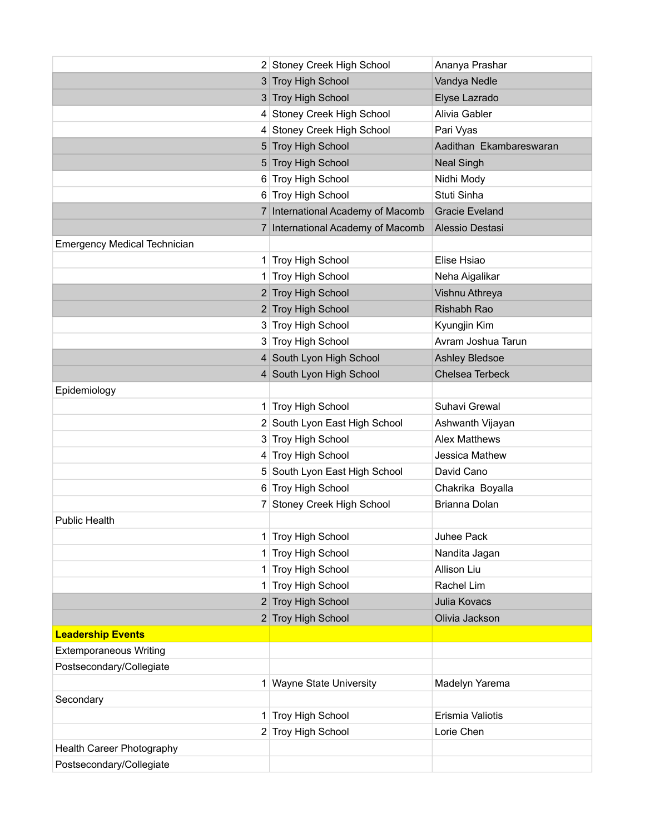|                                     | 2 Stoney Creek High School        | Ananya Prashar          |
|-------------------------------------|-----------------------------------|-------------------------|
|                                     | 3 Troy High School                | Vandya Nedle            |
|                                     | 3 Troy High School                | Elyse Lazrado           |
|                                     | 4 Stoney Creek High School        | Alivia Gabler           |
|                                     | 4 Stoney Creek High School        | Pari Vyas               |
|                                     | 5 Troy High School                | Aadithan Ekambareswaran |
|                                     | 5 Troy High School                | <b>Neal Singh</b>       |
|                                     | 6 Troy High School                | Nidhi Mody              |
|                                     | 6 Troy High School                | Stuti Sinha             |
|                                     | 7 International Academy of Macomb | <b>Gracie Eveland</b>   |
|                                     | 7 International Academy of Macomb | Alessio Destasi         |
| <b>Emergency Medical Technician</b> |                                   |                         |
|                                     | 1 Troy High School                | Elise Hsiao             |
|                                     | 1 Troy High School                | Neha Aigalikar          |
|                                     | 2 Troy High School                | Vishnu Athreya          |
|                                     | 2 Troy High School                | Rishabh Rao             |
|                                     | 3 Troy High School                | Kyungjin Kim            |
|                                     | 3 Troy High School                | Avram Joshua Tarun      |
|                                     | 4 South Lyon High School          | <b>Ashley Bledsoe</b>   |
|                                     | 4 South Lyon High School          | Chelsea Terbeck         |
| Epidemiology                        |                                   |                         |
|                                     | 1 Troy High School                | Suhavi Grewal           |
|                                     | 2 South Lyon East High School     | Ashwanth Vijayan        |
|                                     | 3 Troy High School                | <b>Alex Matthews</b>    |
|                                     | 4 Troy High School                | Jessica Mathew          |
|                                     | 5 South Lyon East High School     | David Cano              |
|                                     | 6 Troy High School                | Chakrika Boyalla        |
| 7                                   | Stoney Creek High School          | Brianna Dolan           |
| <b>Public Health</b>                |                                   |                         |
|                                     | 1 Troy High School                | Juhee Pack              |
| 1.                                  | Troy High School                  | Nandita Jagan           |
| 1.                                  | Troy High School                  | Allison Liu             |
| 1                                   | Troy High School                  | Rachel Lim              |
|                                     | 2 Troy High School                | Julia Kovacs            |
|                                     | 2 Troy High School                | Olivia Jackson          |
| <b>Leadership Events</b>            |                                   |                         |
| <b>Extemporaneous Writing</b>       |                                   |                         |
| Postsecondary/Collegiate            |                                   |                         |
| 1                                   | <b>Wayne State University</b>     | Madelyn Yarema          |
| Secondary                           |                                   |                         |
|                                     | 1 Troy High School                | Erismia Valiotis        |
|                                     | 2 Troy High School                | Lorie Chen              |
| Health Career Photography           |                                   |                         |
| Postsecondary/Collegiate            |                                   |                         |
|                                     |                                   |                         |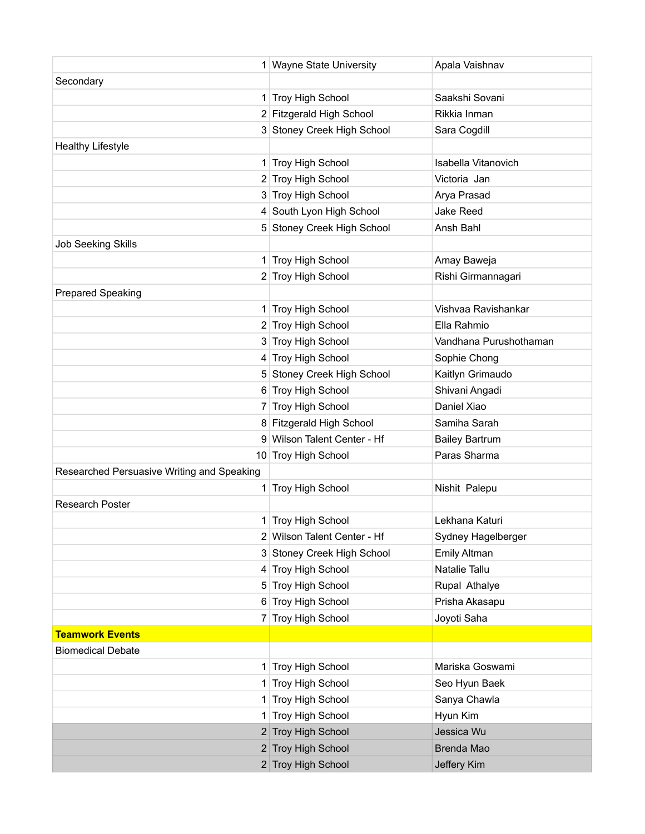|                                            | 1 Wayne State University    | Apala Vaishnav         |
|--------------------------------------------|-----------------------------|------------------------|
| Secondary                                  |                             |                        |
|                                            | 1 Troy High School          | Saakshi Sovani         |
|                                            | 2 Fitzgerald High School    | Rikkia Inman           |
|                                            | 3 Stoney Creek High School  | Sara Cogdill           |
| <b>Healthy Lifestyle</b>                   |                             |                        |
|                                            | 1 Troy High School          | Isabella Vitanovich    |
|                                            | 2 Troy High School          | Victoria Jan           |
|                                            | 3 Troy High School          | Arya Prasad            |
|                                            | 4 South Lyon High School    | <b>Jake Reed</b>       |
|                                            | 5 Stoney Creek High School  | Ansh Bahl              |
| <b>Job Seeking Skills</b>                  |                             |                        |
|                                            | 1 Troy High School          | Amay Baweja            |
|                                            | 2 Troy High School          | Rishi Girmannagari     |
| <b>Prepared Speaking</b>                   |                             |                        |
|                                            | 1 Troy High School          | Vishvaa Ravishankar    |
|                                            | 2 Troy High School          | Ella Rahmio            |
|                                            | 3 Troy High School          | Vandhana Purushothaman |
|                                            | 4 Troy High School          | Sophie Chong           |
|                                            | 5 Stoney Creek High School  | Kaitlyn Grimaudo       |
|                                            | 6 Troy High School          | Shivani Angadi         |
|                                            | 7 Troy High School          | Daniel Xiao            |
|                                            | 8 Fitzgerald High School    | Samiha Sarah           |
|                                            | 9 Wilson Talent Center - Hf | <b>Bailey Bartrum</b>  |
|                                            | 10 Troy High School         | Paras Sharma           |
| Researched Persuasive Writing and Speaking |                             |                        |
|                                            | 1 Troy High School          | Nishit Palepu          |
| <b>Research Poster</b>                     |                             |                        |
|                                            | 1 Troy High School          | Lekhana Katuri         |
|                                            | 2 Wilson Talent Center - Hf | Sydney Hagelberger     |
|                                            | 3 Stoney Creek High School  | Emily Altman           |
|                                            | 4 Troy High School          | Natalie Tallu          |
|                                            | 5 Troy High School          | Rupal Athalye          |
|                                            | 6 Troy High School          | Prisha Akasapu         |
|                                            | 7 Troy High School          | Joyoti Saha            |
| <b>Teamwork Events</b>                     |                             |                        |
| <b>Biomedical Debate</b>                   |                             |                        |
|                                            | 1 Troy High School          | Mariska Goswami        |
|                                            | 1 Troy High School          | Seo Hyun Baek          |
| 1                                          | Troy High School            | Sanya Chawla           |
|                                            | 1 Troy High School          | Hyun Kim               |
|                                            | 2 Troy High School          | Jessica Wu             |
|                                            | 2 Troy High School          | Brenda Mao             |
|                                            | 2 Troy High School          | Jeffery Kim            |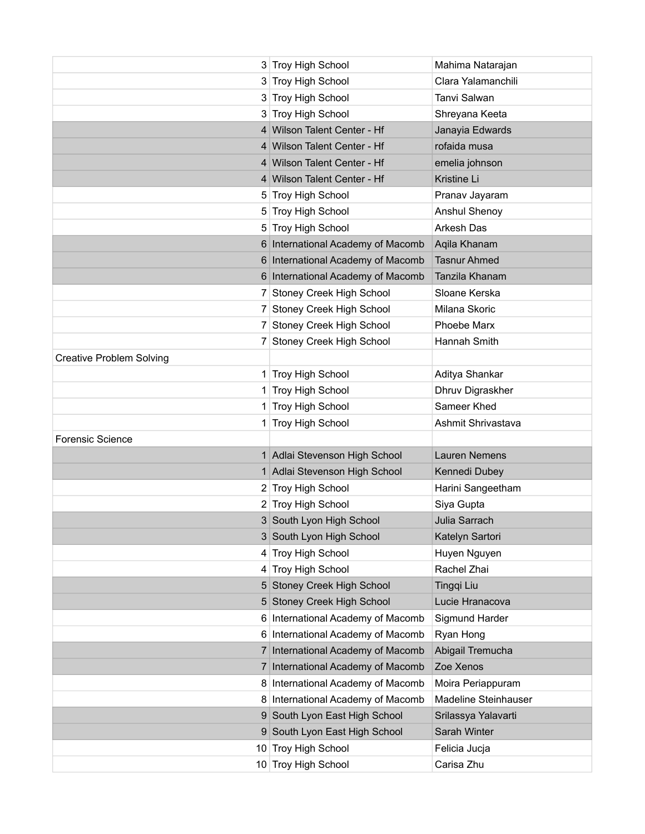|                                 | 3 Troy High School                | Mahima Natarajan     |
|---------------------------------|-----------------------------------|----------------------|
|                                 | 3 Troy High School                | Clara Yalamanchili   |
|                                 | 3 Troy High School                | Tanvi Salwan         |
|                                 | 3 Troy High School                | Shreyana Keeta       |
|                                 | 4 Wilson Talent Center - Hf       | Janayia Edwards      |
|                                 | 4 Wilson Talent Center - Hf       | rofaida musa         |
|                                 | 4 Wilson Talent Center - Hf       | emelia johnson       |
|                                 | 4 Wilson Talent Center - Hf       | Kristine Li          |
|                                 | 5 Troy High School                | Pranav Jayaram       |
|                                 | 5 Troy High School                | Anshul Shenoy        |
|                                 | 5 Troy High School                | Arkesh Das           |
|                                 | 6 International Academy of Macomb | Aqila Khanam         |
|                                 | 6 International Academy of Macomb | <b>Tasnur Ahmed</b>  |
|                                 | 6 International Academy of Macomb | Tanzila Khanam       |
|                                 | 7 Stoney Creek High School        | Sloane Kerska        |
|                                 | 7 Stoney Creek High School        | Milana Skoric        |
|                                 | 7 Stoney Creek High School        | Phoebe Marx          |
|                                 | 7 Stoney Creek High School        | Hannah Smith         |
| <b>Creative Problem Solving</b> |                                   |                      |
|                                 | 1 Troy High School                | Aditya Shankar       |
|                                 | 1 Troy High School                | Dhruv Digraskher     |
|                                 | 1 Troy High School                | Sameer Khed          |
|                                 | 1 Troy High School                | Ashmit Shrivastava   |
| <b>Forensic Science</b>         |                                   |                      |
|                                 | 1 Adlai Stevenson High School     | <b>Lauren Nemens</b> |
|                                 | 1 Adlai Stevenson High School     | Kennedi Dubey        |
|                                 | 2 Troy High School                | Harini Sangeetham    |
|                                 | 2 Troy High School                | Siya Gupta           |
|                                 | 3 South Lyon High School          | Julia Sarrach        |
|                                 | 3 South Lyon High School          | Katelyn Sartori      |
|                                 | 4 Troy High School                | Huyen Nguyen         |
|                                 | 4 Troy High School                | Rachel Zhai          |
|                                 | 5 Stoney Creek High School        | Tingqi Liu           |
|                                 | 5 Stoney Creek High School        | Lucie Hranacova      |
|                                 | 6 International Academy of Macomb | Sigmund Harder       |
|                                 | 6 International Academy of Macomb | Ryan Hong            |
|                                 | 7 International Academy of Macomb | Abigail Tremucha     |
| 7 <sup>1</sup>                  | International Academy of Macomb   | Zoe Xenos            |
|                                 | 8 International Academy of Macomb | Moira Periappuram    |
|                                 | 8 International Academy of Macomb | Madeline Steinhauser |
|                                 | 9 South Lyon East High School     | Srilassya Yalavarti  |
| 9                               | South Lyon East High School       | Sarah Winter         |
| 10                              | Troy High School                  | Felicia Jucja        |
|                                 | 10 Troy High School               | Carisa Zhu           |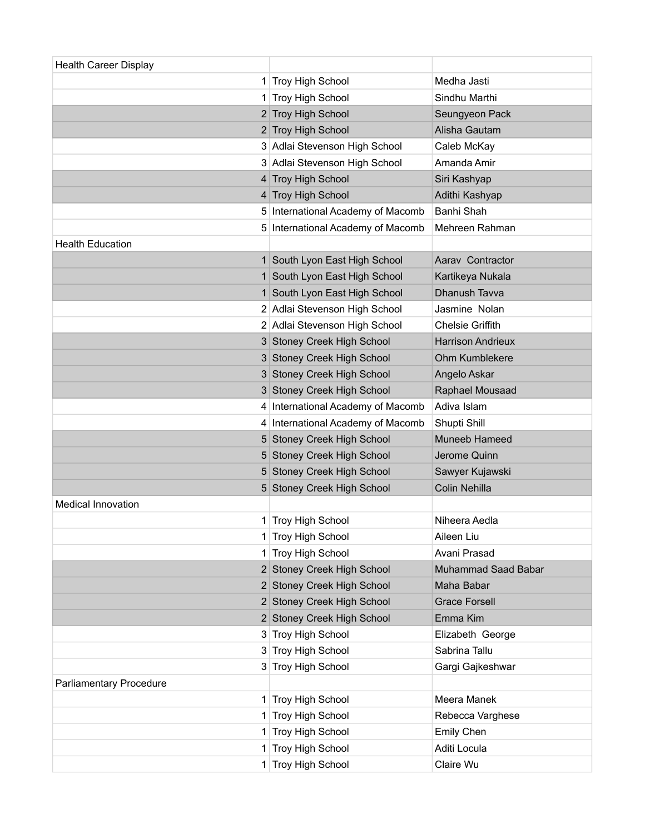| <b>Health Career Display</b> |                                   |                          |
|------------------------------|-----------------------------------|--------------------------|
| 1                            | Troy High School                  | Medha Jasti              |
| 1                            | Troy High School                  | Sindhu Marthi            |
|                              | 2 Troy High School                | Seungyeon Pack           |
|                              | 2 Troy High School                | Alisha Gautam            |
|                              | 3 Adlai Stevenson High School     | Caleb McKay              |
|                              | 3 Adlai Stevenson High School     | Amanda Amir              |
|                              | 4 Troy High School                | Siri Kashyap             |
|                              | 4 Troy High School                | Adithi Kashyap           |
|                              | 5 International Academy of Macomb | Banhi Shah               |
|                              | 5 International Academy of Macomb | Mehreen Rahman           |
| <b>Health Education</b>      |                                   |                          |
|                              | 1 South Lyon East High School     | Aarav Contractor         |
|                              | 1 South Lyon East High School     | Kartikeya Nukala         |
|                              | 1 South Lyon East High School     | <b>Dhanush Tavva</b>     |
|                              | 2 Adlai Stevenson High School     | Jasmine Nolan            |
|                              | 2 Adlai Stevenson High School     | <b>Chelsie Griffith</b>  |
|                              | 3 Stoney Creek High School        | <b>Harrison Andrieux</b> |
|                              | 3 Stoney Creek High School        | Ohm Kumblekere           |
|                              | 3 Stoney Creek High School        | Angelo Askar             |
|                              | 3 Stoney Creek High School        | Raphael Mousaad          |
|                              | 4 International Academy of Macomb | Adiva Islam              |
|                              | 4 International Academy of Macomb | Shupti Shill             |
|                              | 5 Stoney Creek High School        | Muneeb Hameed            |
|                              | 5 Stoney Creek High School        | Jerome Quinn             |
|                              | 5 Stoney Creek High School        | Sawyer Kujawski          |
|                              | 5 Stoney Creek High School        | Colin Nehilla            |
| Medical Innovation           |                                   |                          |
| 1                            | Troy High School                  | Niheera Aedla            |
|                              | 1 Troy High School                | Aileen Liu               |
| 1.                           | Troy High School                  | Avani Prasad             |
|                              | 2 Stoney Creek High School        | Muhammad Saad Babar      |
|                              | 2 Stoney Creek High School        | Maha Babar               |
|                              | 2 Stoney Creek High School        | <b>Grace Forsell</b>     |
|                              | 2 Stoney Creek High School        | Emma Kim                 |
|                              | 3 Troy High School                | Elizabeth George         |
|                              | 3 Troy High School                | Sabrina Tallu            |
|                              | 3 Troy High School                | Gargi Gajkeshwar         |
| Parliamentary Procedure      |                                   |                          |
|                              | 1 Troy High School                | Meera Manek              |
| 1                            | Troy High School                  | Rebecca Varghese         |
| 1                            | Troy High School                  | Emily Chen               |
| 1                            | Troy High School                  | Aditi Locula             |
|                              | 1 Troy High School                | Claire Wu                |